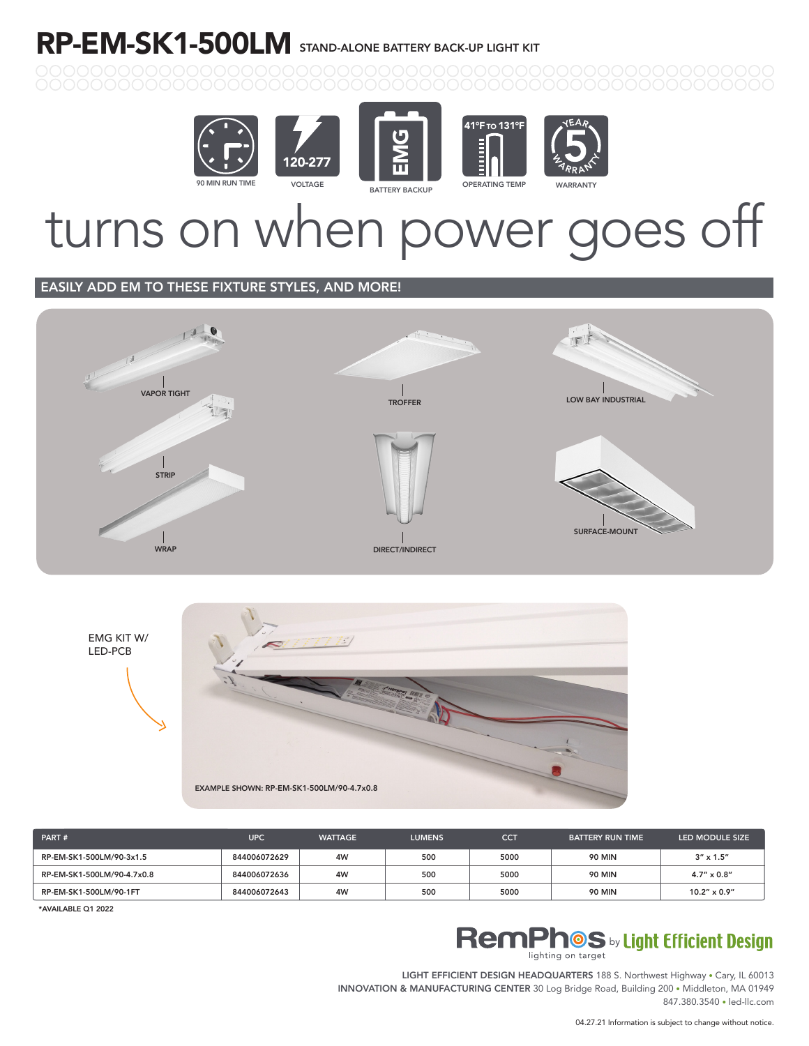### RP-EM-SK1-500LM STAND-ALONE BATTERY BACK-UP LIGHT KIT









# turns on when power goes off

#### EASILY ADD EM TO THESE FIXTURE STYLES, AND MORE!





| PART#                      | <b>UPC</b>   | <b>WATTAGE</b> | <b>LUMENS</b> | <b>CCT</b> | <b>BATTERY RUN TIME</b> | LED MODULE SIZE       |
|----------------------------|--------------|----------------|---------------|------------|-------------------------|-----------------------|
| RP-EM-SK1-500LM/90-3x1.5   | 844006072629 | 4W             | 500           | 5000       | <b>90 MIN</b>           | $3'' \times 1.5''$    |
| RP-EM-SK1-500LM/90-4.7x0.8 | 844006072636 | 4W             | 500           | 5000       | <b>90 MIN</b>           | $4.7'' \times 0.8''$  |
| RP-EM-SK1-500LM/90-1FT     | 844006072643 | 4W             | 500           | 5000       | <b>90 MIN</b>           | $10.2'' \times 0.9''$ |

\*AVAILABLE Q1 2022

#### **RemPhOS** by Light Efficient Design lighting on target

LIGHT EFFICIENT DESIGN HEADQUARTERS 188 S. Northwest Highway • Cary, IL 60013 INNOVATION & MANUFACTURING CENTER 30 Log Bridge Road, Building 200 • Middleton, MA 01949 847.380.3540 • led-llc.com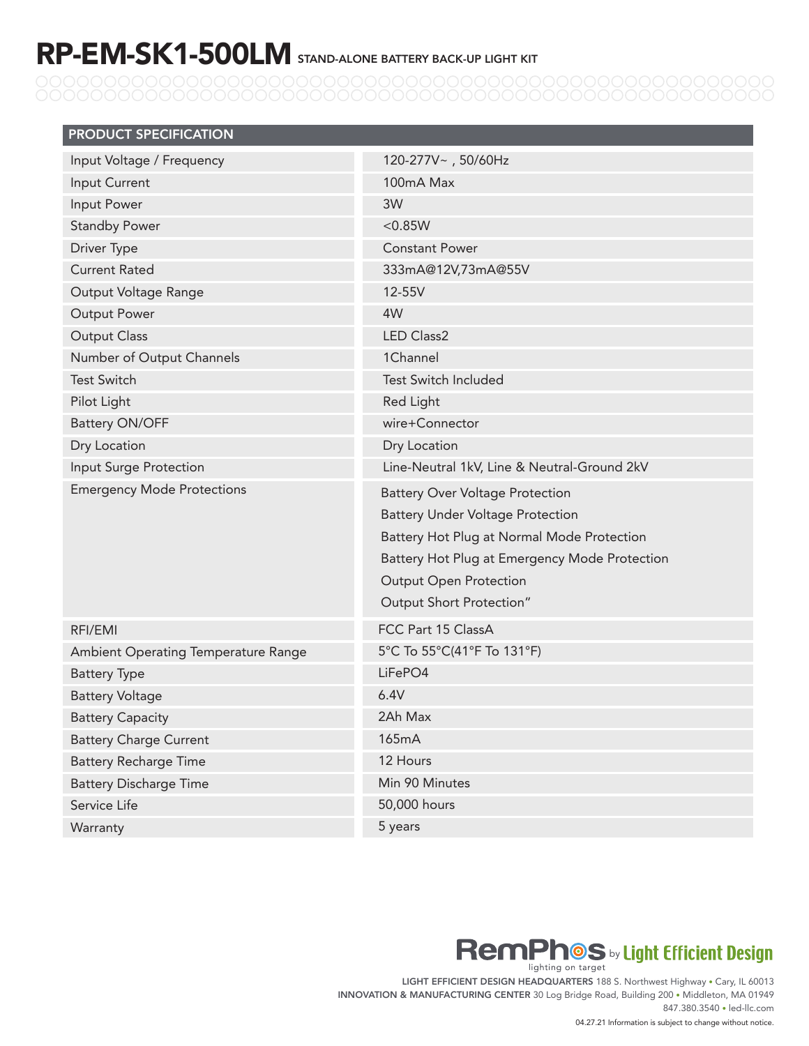## RP-EM-SK1-500LM STAND-ALONE BATTERY BACK-UP LIGHT KIT

| <b>PRODUCT SPECIFICATION</b>        |                                               |  |  |  |
|-------------------------------------|-----------------------------------------------|--|--|--|
| Input Voltage / Frequency           | 120-277V~, 50/60Hz                            |  |  |  |
| Input Current                       | 100mA Max                                     |  |  |  |
| Input Power                         | 3W                                            |  |  |  |
| <b>Standby Power</b>                | < 0.85W                                       |  |  |  |
| Driver Type                         | <b>Constant Power</b>                         |  |  |  |
| <b>Current Rated</b>                | 333mA@12V,73mA@55V                            |  |  |  |
| Output Voltage Range                | 12-55V                                        |  |  |  |
| <b>Output Power</b>                 | 4W                                            |  |  |  |
| <b>Output Class</b>                 | <b>LED Class2</b>                             |  |  |  |
| Number of Output Channels           | 1Channel                                      |  |  |  |
| <b>Test Switch</b>                  | <b>Test Switch Included</b>                   |  |  |  |
| Pilot Light                         | <b>Red Light</b>                              |  |  |  |
| <b>Battery ON/OFF</b>               | wire+Connector                                |  |  |  |
| Dry Location                        | Dry Location                                  |  |  |  |
| Input Surge Protection              | Line-Neutral 1kV, Line & Neutral-Ground 2kV   |  |  |  |
| <b>Emergency Mode Protections</b>   | <b>Battery Over Voltage Protection</b>        |  |  |  |
|                                     | <b>Battery Under Voltage Protection</b>       |  |  |  |
|                                     | Battery Hot Plug at Normal Mode Protection    |  |  |  |
|                                     | Battery Hot Plug at Emergency Mode Protection |  |  |  |
|                                     | <b>Output Open Protection</b>                 |  |  |  |
|                                     | Output Short Protection"                      |  |  |  |
| RFI/EMI                             | FCC Part 15 ClassA                            |  |  |  |
| Ambient Operating Temperature Range | 5°C To 55°C(41°F To 131°F)                    |  |  |  |
| <b>Battery Type</b>                 | LiFePO4                                       |  |  |  |
| <b>Battery Voltage</b>              | 6.4V                                          |  |  |  |
| <b>Battery Capacity</b>             | 2Ah Max                                       |  |  |  |
| <b>Battery Charge Current</b>       | 165mA                                         |  |  |  |
| <b>Battery Recharge Time</b>        | 12 Hours                                      |  |  |  |
| <b>Battery Discharge Time</b>       | Min 90 Minutes                                |  |  |  |
| Service Life                        | 50,000 hours                                  |  |  |  |
| Warranty                            | 5 years                                       |  |  |  |



LIGHT EFFICIENT DESIGN HEADQUARTERS 188 S. Northwest Highway . Cary, IL 60013 INNOVATION & MANUFACTURING CENTER 30 Log Bridge Road, Building 200 • Middleton, MA 01949 847.380.3540 • led-llc.com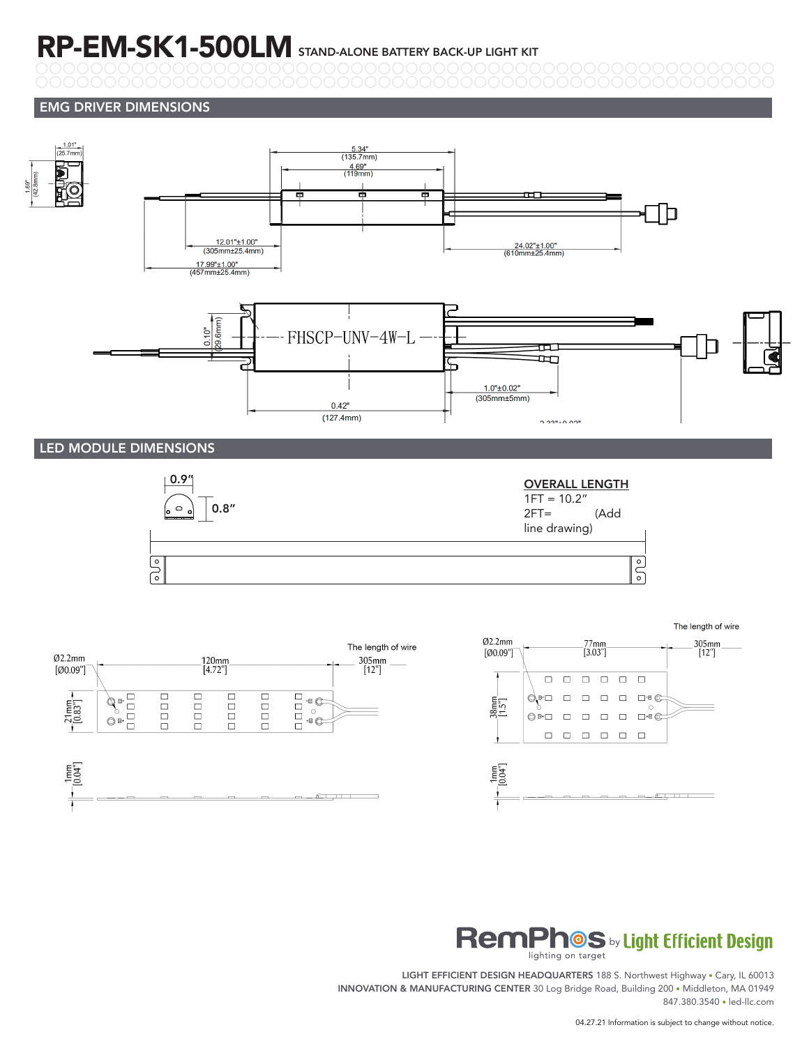### RP-EM-SK1-500LM STAND-ALONE BATTERY BACK-UP LIGHT KIT

#### EMG DRIVER DIMENSIONS





#### **RemPhOS** by Light Efficient Design lighting on target

LIGHT EFFICIENT DESIGN HEADQUARTERS 188 S. Northwest Highway • Cary, IL 60013 INNOVATION & MANUFACTURING CENTER 30 Log Bridge Road, Building 200 • Middleton, MA 01949 847.380.3540 • led-llc.com